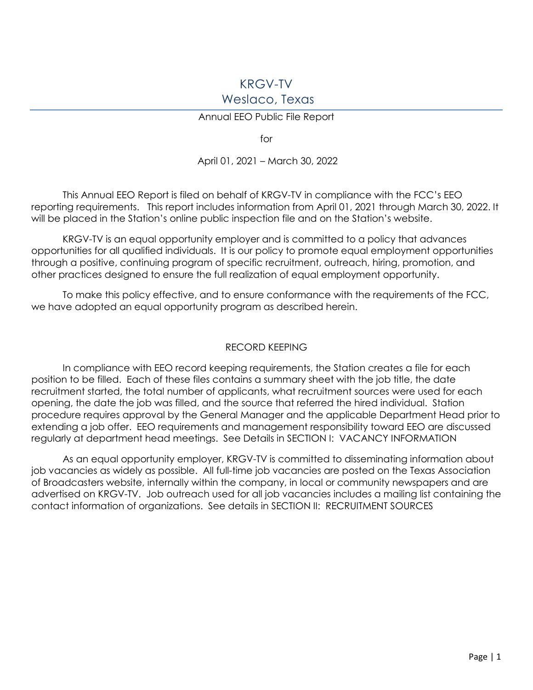# KRGV-TV Weslaco, Texas

### Annual EEO Public File Report

for

### April 01, 2021 – March 30, 2022

This Annual EEO Report is filed on behalf of KRGV-TV in compliance with the FCC's EEO reporting requirements. This report includes information from April 01, 2021 through March 30, 2022. It will be placed in the Station's online public inspection file and on the Station's website.

KRGV-TV is an equal opportunity employer and is committed to a policy that advances opportunities for all qualified individuals. It is our policy to promote equal employment opportunities through a positive, continuing program of specific recruitment, outreach, hiring, promotion, and other practices designed to ensure the full realization of equal employment opportunity.

To make this policy effective, and to ensure conformance with the requirements of the FCC, we have adopted an equal opportunity program as described herein.

#### RECORD KEEPING

In compliance with EEO record keeping requirements, the Station creates a file for each position to be filled. Each of these files contains a summary sheet with the job title, the date recruitment started, the total number of applicants, what recruitment sources were used for each opening, the date the job was filled, and the source that referred the hired individual. Station procedure requires approval by the General Manager and the applicable Department Head prior to extending a job offer. EEO requirements and management responsibility toward EEO are discussed regularly at department head meetings. See Details in SECTION I: VACANCY INFORMATION

As an equal opportunity employer, KRGV-TV is committed to disseminating information about job vacancies as widely as possible. All full-time job vacancies are posted on the Texas Association of Broadcasters website, internally within the company, in local or community newspapers and are advertised on KRGV-TV. Job outreach used for all job vacancies includes a mailing list containing the contact information of organizations. See details in SECTION II: RECRUITMENT SOURCES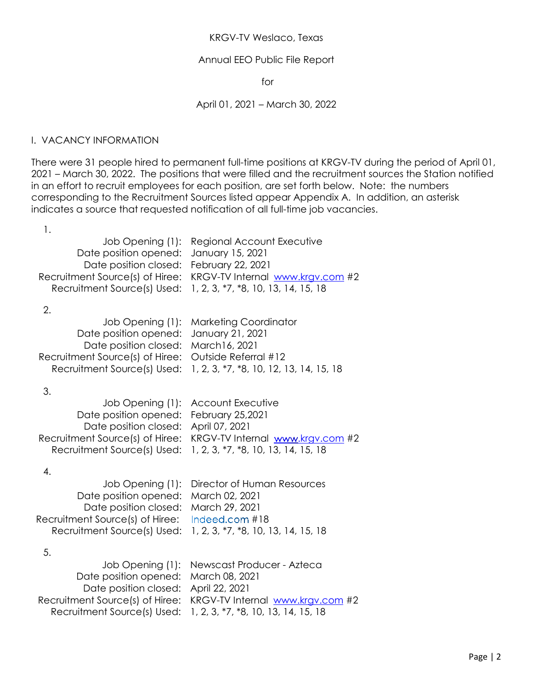### KRGV-TV Weslaco, Texas

### Annual EEO Public File Report

for

### April 01, 2021 – March 30, 2022

### I. VACANCY INFORMATION

There were 31 people hired to permanent full-time positions at KRGV-TV during the period of April 01, 2021 – March 30, 2022. The positions that were filled and the recruitment sources the Station notified in an effort to recruit employees for each position, are set forth below. Note: the numbers corresponding to the Recruitment Sources listed appear Appendix A. In addition, an asterisk indicates a source that requested notification of all full-time job vacancies.

| Regional Account Executive<br>January 15, 2021<br>February 22, 2021<br>KRGV-TV Internal www.krgv.com #2<br>1, 2, 3, *7, *8, 10, 13, 14, 15, 18 |
|------------------------------------------------------------------------------------------------------------------------------------------------|
| <b>Marketing Coordinator</b><br>January 21, 2021<br>March16, 2021<br>Outside Referral #12<br>1, 2, 3, *7, *8, 10, 12, 13, 14, 15, 18           |
| <b>Account Executive</b><br>February 25,2021<br>April 07, 2021<br>KRGV-TV Internal www.krgv.com #2<br>1, 2, 3, *7, *8, 10, 13, 14, 15, 18      |
| Director of Human Resources<br>March 02, 2021<br>March 29, 2021<br>Indeed.com #18<br>1, 2, 3, *7, *8, 10, 13, 14, 15, 18                       |
| Newscast Producer - Azteca<br>March 08, 2021<br>April 22, 2021<br>KRGV-TV Internal www.krgv.com #2<br>1, 2, 3, *7, *8, 10, 13, 14, 15, 18      |
|                                                                                                                                                |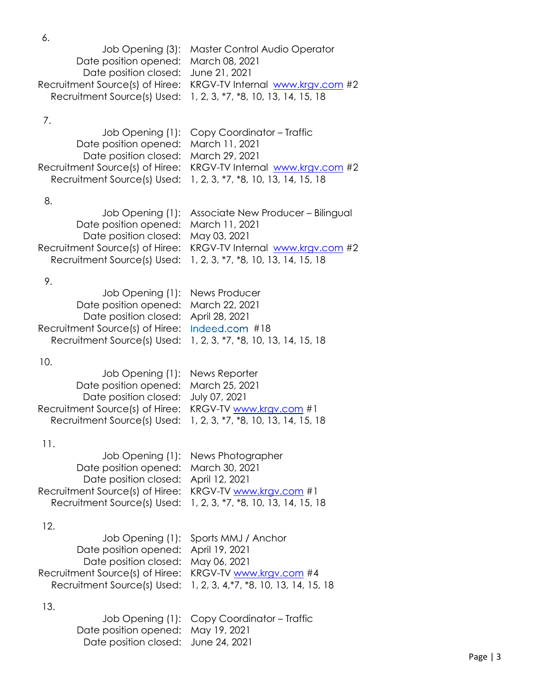6.

|                                      | Job Opening (3): Master Control Audio Operator                   |
|--------------------------------------|------------------------------------------------------------------|
| Date position opened: March 08, 2021 |                                                                  |
| Date position closed: June 21, 2021  |                                                                  |
|                                      | Recruitment Source(s) of Hiree: KRGV-TV Internal www.krgv.com #2 |
|                                      | Recruitment Source(s) Used: 1, 2, 3, *7, *8, 10, 13, 14, 15, 18  |

# 7.

|                                      | Job Opening (1): Copy Coordinator – Traffic                      |
|--------------------------------------|------------------------------------------------------------------|
| Date position opened: March 11, 2021 |                                                                  |
| Date position closed: March 29, 2021 |                                                                  |
|                                      | Recruitment Source(s) of Hiree: KRGV-TV Internal www.krgv.com #2 |
|                                      | Recruitment Source(s) Used: 1, 2, 3, *7, *8, 10, 13, 14, 15, 18  |

## 8.

|                                      | Job Opening (1): Associate New Producer – Bilingual              |
|--------------------------------------|------------------------------------------------------------------|
| Date position opened: March 11, 2021 |                                                                  |
| Date position closed: May 03, 2021   |                                                                  |
|                                      | Recruitment Source(s) of Hiree: KRGV-TV Internal www.krgv.com #2 |
|                                      | Recruitment Source(s) Used: 1, 2, 3, *7, *8, 10, 13, 14, 15, 18  |
|                                      |                                                                  |

# 9.

| Job Opening (1): News Producer                 |                                                                 |
|------------------------------------------------|-----------------------------------------------------------------|
| Date position opened: March 22, 2021           |                                                                 |
| Date position closed: April 28, 2021           |                                                                 |
| Recruitment Source(s) of Hiree: Indeed.com #18 |                                                                 |
|                                                | Recruitment Source(s) Used: 1, 2, 3, *7, *8, 10, 13, 14, 15, 18 |
|                                                |                                                                 |

# 10.

| Job Opening (1): News Reporter                                  |
|-----------------------------------------------------------------|
| Date position opened: March 25, 2021                            |
| Date position closed: July 07, 2021                             |
| Recruitment Source(s) of Hiree: KRGV-TV www.krgv.com #1         |
| Recruitment Source(s) Used: 1, 2, 3, *7, *8, 10, 13, 14, 15, 18 |
|                                                                 |

# 11.

| Job Opening (1): News Photographer                              |
|-----------------------------------------------------------------|
| Date position opened: March 30, 2021                            |
| Date position closed: April 12, 2021                            |
| Recruitment Source(s) of Hiree: KRGV-TV www.krgv.com #1         |
| Recruitment Source(s) Used: 1, 2, 3, *7, *8, 10, 13, 14, 15, 18 |
|                                                                 |

## 12.

|                                                         | Job Opening (1): Sports MMJ / Anchor                               |
|---------------------------------------------------------|--------------------------------------------------------------------|
| Date position opened: April 19, 2021                    |                                                                    |
| Date position closed: May 06, 2021                      |                                                                    |
| Recruitment Source(s) of Hiree: KRGV-TV www.krgv.com #4 |                                                                    |
|                                                         | Recruitment Source(s) Used: 1, 2, 3, 4, *7, *8, 10, 13, 14, 15, 18 |
|                                                         |                                                                    |

|                                     | Job Opening (1): Copy Coordinator – Traffic |
|-------------------------------------|---------------------------------------------|
| Date position opened: May 19, 2021  |                                             |
| Date position closed: June 24, 2021 |                                             |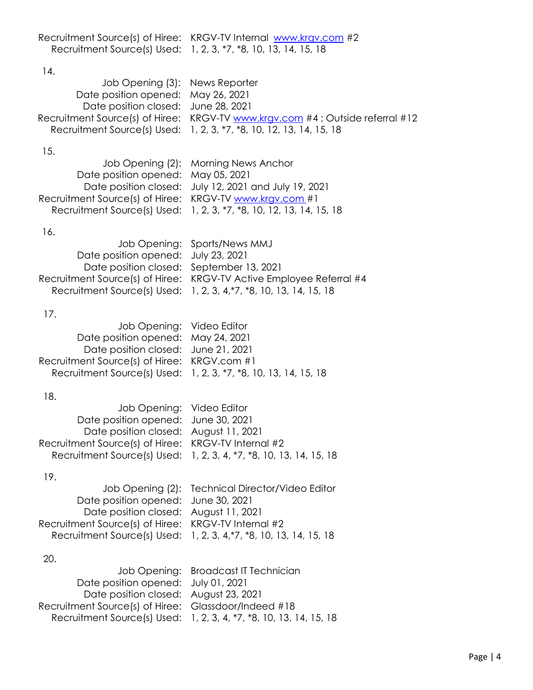| Recruitment Source(s) of Hiree: KRGV-TV Internal www.krgv.com #2 |
|------------------------------------------------------------------|
| Recruitment Source(s) Used: 1, 2, 3, *7, *8, 10, 13, 14, 15, 18  |

### 14.

| Job Opening (3): News Reporter      |                                                                               |
|-------------------------------------|-------------------------------------------------------------------------------|
| Date position opened: May 26, 2021  |                                                                               |
| Date position closed: June 28, 2021 |                                                                               |
|                                     | Recruitment Source(s) of Hiree: KRGV-TV www.krgv.com #4; Outside referral #12 |
|                                     | Recruitment Source(s) Used: 1, 2, 3, *7, *8, 10, 12, 13, 14, 15, 18           |

## 15.

|                                                         | Job Opening (2): Morning News Anchor                                |
|---------------------------------------------------------|---------------------------------------------------------------------|
| Date position opened: May 05, 2021                      |                                                                     |
|                                                         | Date position closed: July 12, 2021 and July 19, 2021               |
| Recruitment Source(s) of Hiree: KRGV-TV www.krgv.com #1 |                                                                     |
|                                                         | Recruitment Source(s) Used: 1, 2, 3, *7, *8, 10, 12, 13, 14, 15, 18 |
|                                                         |                                                                     |

## 16.

|                                          | Job Opening: Sports/News MMJ                                        |
|------------------------------------------|---------------------------------------------------------------------|
| Date position opened: July 23, 2021      |                                                                     |
| Date position closed: September 13, 2021 |                                                                     |
|                                          | Recruitment Source(s) of Hiree: KRGV-TV Active Employee Referral #4 |
|                                          | Recruitment Source(s) Used: 1, 2, 3, 4, *7, *8, 10, 13, 14, 15, 18  |

# 17.

| Job Opening: Video Editor                   |                                                                 |
|---------------------------------------------|-----------------------------------------------------------------|
| Date position opened: May 24, 2021          |                                                                 |
| Date position closed: June 21, 2021         |                                                                 |
| Recruitment Source(s) of Hiree: KRGV.com #1 |                                                                 |
|                                             | Recruitment Source(s) Used: 1, 2, 3, *7, *8, 10, 13, 14, 15, 18 |
|                                             |                                                                 |

# 18.

| Job Opening: Video Editor                           |                                                                    |
|-----------------------------------------------------|--------------------------------------------------------------------|
| Date position opened: June 30, 2021                 |                                                                    |
| Date position closed: August 11, 2021               |                                                                    |
| Recruitment Source(s) of Hiree: KRGV-TV Internal #2 |                                                                    |
|                                                     | Recruitment Source(s) Used: 1, 2, 3, 4, *7, *8, 10, 13, 14, 15, 18 |
|                                                     |                                                                    |

# 19.

|                                                     | Job Opening (2): Technical Director/Video Editor                   |
|-----------------------------------------------------|--------------------------------------------------------------------|
| Date position opened: June 30, 2021                 |                                                                    |
| Date position closed: August 11, 2021               |                                                                    |
| Recruitment Source(s) of Hiree: KRGV-TV Internal #2 |                                                                    |
|                                                     | Recruitment Source(s) Used: 1, 2, 3, 4, *7, *8, 10, 13, 14, 15, 18 |

|                                                      | Job Opening: Broadcast IT Technician                               |
|------------------------------------------------------|--------------------------------------------------------------------|
| Date position opened: July 01, 2021                  |                                                                    |
| Date position closed: August 23, 2021                |                                                                    |
| Recruitment Source(s) of Hiree: Glassdoor/Indeed #18 |                                                                    |
|                                                      | Recruitment Source(s) Used: 1, 2, 3, 4, *7, *8, 10, 13, 14, 15, 18 |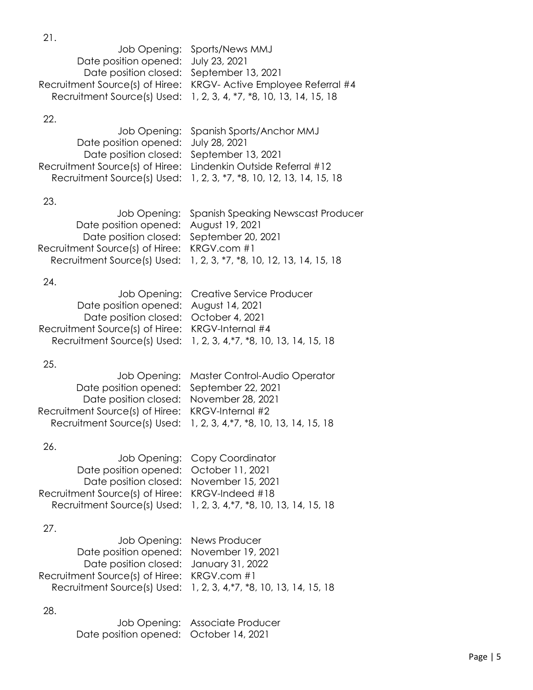Job Opening: Sports/News MMJ Date position opened: July 23, 2021 Date position closed: September 13, 2021 Recruitment Source(s) of Hiree: KRGV- Active Employee Referral #4 Recruitment Source(s) Used: 1, 2, 3, 4, \*7, \*8, 10, 13, 14, 15, 18

### 22.

21.

|                                                                | Job Opening: Spanish Sports/Anchor MMJ                              |
|----------------------------------------------------------------|---------------------------------------------------------------------|
| Date position opened: July 28, 2021                            |                                                                     |
| Date position closed: September 13, 2021                       |                                                                     |
| Recruitment Source(s) of Hiree: Lindenkin Outside Referral #12 |                                                                     |
|                                                                | Recruitment Source(s) Used: 1, 2, 3, *7, *8, 10, 12, 13, 14, 15, 18 |

### 23.

|                                             | Job Opening: Spanish Speaking Newscast Producer                     |
|---------------------------------------------|---------------------------------------------------------------------|
| Date position opened: August 19, 2021       |                                                                     |
| Date position closed: September 20, 2021    |                                                                     |
| Recruitment Source(s) of Hiree: KRGV.com #1 |                                                                     |
|                                             | Recruitment Source(s) Used: 1, 2, 3, *7, *8, 10, 12, 13, 14, 15, 18 |
|                                             |                                                                     |

#### 24.

| Job Opening: Creative Service Producer                             |
|--------------------------------------------------------------------|
| Date position opened: August 14, 2021                              |
| Date position closed: October 4, 2021                              |
| Recruitment Source(s) of Hiree: KRGV-Internal #4                   |
| Recruitment Source(s) Used: 1, 2, 3, 4, *7, *8, 10, 13, 14, 15, 18 |
|                                                                    |

#### 25.

|                                                  | Job Opening: Master Control-Audio Operator                         |
|--------------------------------------------------|--------------------------------------------------------------------|
| Date position opened: September 22, 2021         |                                                                    |
| Date position closed: November 28, 2021          |                                                                    |
| Recruitment Source(s) of Hiree: KRGV-Internal #2 |                                                                    |
|                                                  | Recruitment Source(s) Used: 1, 2, 3, 4, *7, *8, 10, 13, 14, 15, 18 |
|                                                  |                                                                    |

### 26.

|                                                 | Job Opening: Copy Coordinator                                      |
|-------------------------------------------------|--------------------------------------------------------------------|
| Date position opened: October 11, 2021          |                                                                    |
| Date position closed: November 15, 2021         |                                                                    |
| Recruitment Source(s) of Hiree: KRGV-Indeed #18 |                                                                    |
|                                                 | Recruitment Source(s) Used: 1, 2, 3, 4, *7, *8, 10, 13, 14, 15, 18 |
|                                                 |                                                                    |

#### 27.

|                                             | Job Opening: News Producer                                         |
|---------------------------------------------|--------------------------------------------------------------------|
| Date position opened: November 19, 2021     |                                                                    |
| Date position closed: January 31, 2022      |                                                                    |
| Recruitment Source(s) of Hiree: KRGV.com #1 |                                                                    |
|                                             | Recruitment Source(s) Used: 1, 2, 3, 4, *7, *8, 10, 13, 14, 15, 18 |

|                                        | Job Opening: Associate Producer |
|----------------------------------------|---------------------------------|
| Date position opened: October 14, 2021 |                                 |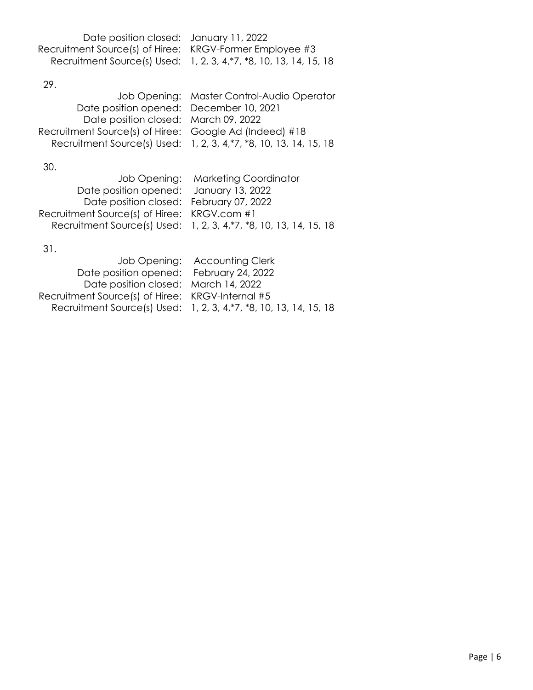| Date position closed: January 11, 2022                  |                                                                    |
|---------------------------------------------------------|--------------------------------------------------------------------|
| Recruitment Source(s) of Hiree: KRGV-Former Employee #3 |                                                                    |
|                                                         | Recruitment Source(s) Used: 1, 2, 3, 4, *7, *8, 10, 13, 14, 15, 18 |

29.

| Job Opening: Master Control-Audio Operator                         |
|--------------------------------------------------------------------|
| Date position opened: December 10, 2021                            |
| Date position closed: March 09, 2022                               |
| Recruitment Source(s) of Hiree: Google Ad (Indeed) #18             |
| Recruitment Source(s) Used: 1, 2, 3, 4, *7, *8, 10, 13, 14, 15, 18 |
|                                                                    |

30.

|                                             | Job Opening: Marketing Coordinator                                 |
|---------------------------------------------|--------------------------------------------------------------------|
| Date position opened: January 13, 2022      |                                                                    |
| Date position closed: February 07, 2022     |                                                                    |
| Recruitment Source(s) of Hiree: KRGV.com #1 |                                                                    |
|                                             | Recruitment Source(s) Used: 1, 2, 3, 4, *7, *8, 10, 13, 14, 15, 18 |
|                                             |                                                                    |

|                                                  | Job Opening: Accounting Clerk                                      |
|--------------------------------------------------|--------------------------------------------------------------------|
| Date position opened: February 24, 2022          |                                                                    |
| Date position closed: March 14, 2022             |                                                                    |
| Recruitment Source(s) of Hiree: KRGV-Internal #5 |                                                                    |
|                                                  | Recruitment Source(s) Used: 1, 2, 3, 4, *7, *8, 10, 13, 14, 15, 18 |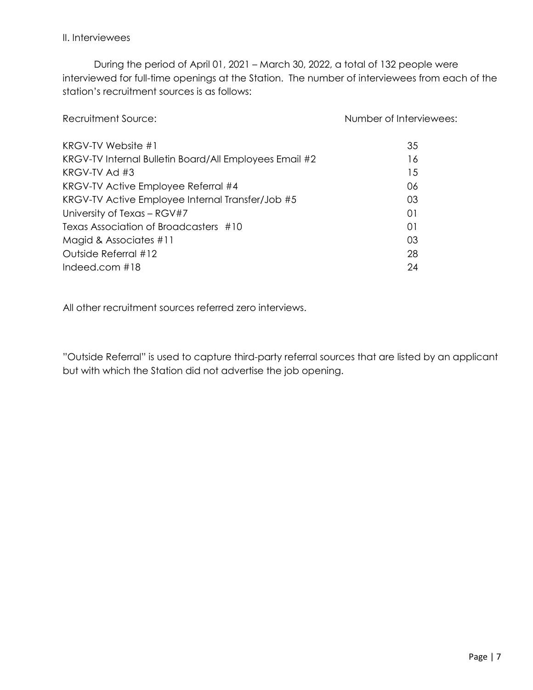### II. Interviewees

During the period of April 01, 2021 – March 30, 2022, a total of 132 people were interviewed for full-time openings at the Station. The number of interviewees from each of the station's recruitment sources is as follows:

| Recruitment Source:                                    | Number of Interviewees: |
|--------------------------------------------------------|-------------------------|
| KRGV-TV Website #1                                     | 35                      |
| KRGV-TV Internal Bulletin Board/All Employees Email #2 | 16                      |
| KRGV-TV Ad $#3$                                        | 15                      |
| KRGV-TV Active Employee Referral #4                    | 06                      |
| KRGV-TV Active Employee Internal Transfer/Job #5       | 03                      |
| University of Texas - RGV#7                            | 01                      |
| Texas Association of Broadcasters #10                  | 01                      |
| Magid & Associates #11                                 | 03                      |
| Outside Referral #12                                   | 28                      |
| Indeed.com $#18$                                       | 24                      |
|                                                        |                         |

All other recruitment sources referred zero interviews.

"Outside Referral" is used to capture third-party referral sources that are listed by an applicant but with which the Station did not advertise the job opening.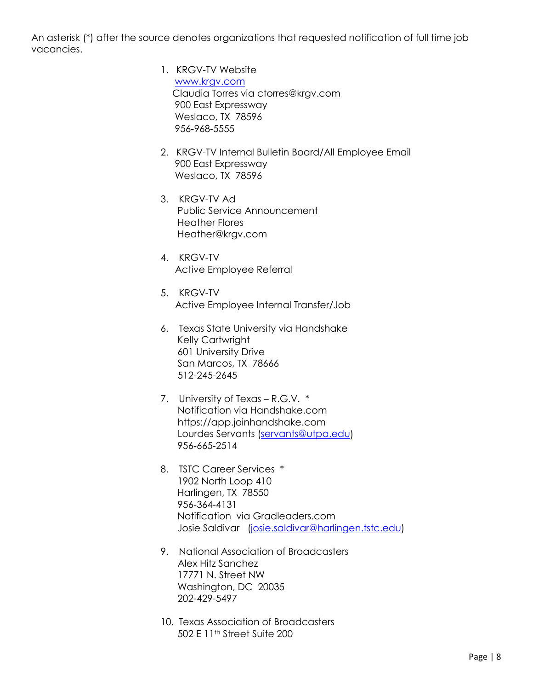An asterisk (\*) after the source denotes organizations that requested notification of full time job vacancies.

- 1. KRGV-TV Website [www.krgv.com](http://www.krgv.com/) Claudia Torres via ctorres@krgv.com 900 East Expressway Weslaco, TX 78596 956-968-5555
- 2. KRGV-TV Internal Bulletin Board/All Employee Email 900 East Expressway Weslaco, TX 78596
- 3. KRGV-TV Ad Public Service Announcement Heather Flores Heather@krgv.com
- 4. KRGV-TV Active Employee Referral
- 5. KRGV-TV Active Employee Internal Transfer/Job
- 6. Texas State University via Handshake Kelly Cartwright 601 University Drive San Marcos, TX 78666 512-245-2645
- 7. University of Texas R.G.V. \* Notification via Handshake.com https://app.joinhandshake.com Lourdes Servants [\(servants@utpa.edu\)](mailto:servants@utpa.edu) 956-665-2514
- 8. TSTC Career Services \* 1902 North Loop 410 Harlingen, TX 78550 956-364-4131 Notification via Gradleaders.com Josie Saldivar [\(josie.saldivar@harlingen.tstc.edu\)](mailto:josie.saldivar@harlingen.tstc.edu)
- 9. National Association of Broadcasters Alex Hitz Sanchez 17771 N. Street NW Washington, DC 20035 202-429-5497
- 10. Texas Association of Broadcasters 502 E 11th Street Suite 200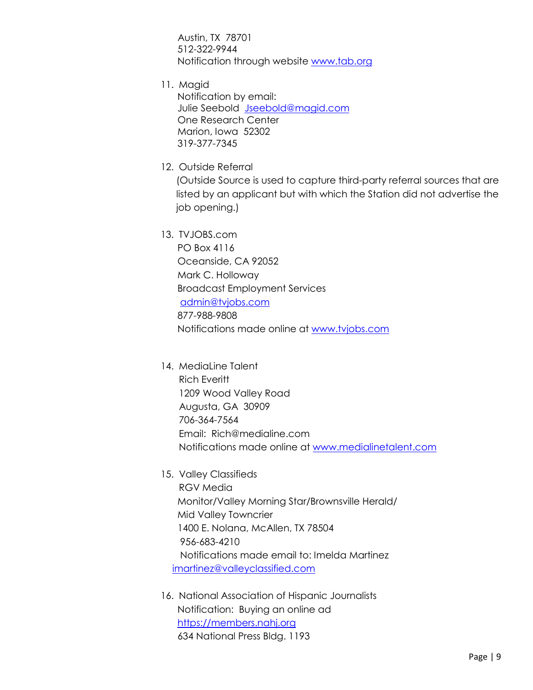Austin, TX 78701 512-322-9944 Notification through website [www.tab.org](http://www.tab.org/)

11. Magid

 Notification by email: Julie Seebold [Jseebold@magid.com](mailto:Jseebold@magid.com) One Research Center Marion, Iowa 52302 319-377-7345

12. Outside Referral

(Outside Source is used to capture third-party referral sources that are listed by an applicant but with which the Station did not advertise the job opening.)

13. TVJOBS.com

 PO Box 4116 Oceanside, CA 92052 Mark C. Holloway Broadcast Employment Services [admin@tvjobs.com](mailto:admin@tvjobs.com) 877-988-9808 Notifications made online at [www.tvjobs.com](http://www.tvjobs.com/)

- 14. MediaLine Talent Rich Everitt 1209 Wood Valley Road Augusta, GA 30909 706-364-7564 Email: Rich@medialine.com Notifications made online at [www.medialinetalent.com](http://www.medialinetalent.com/)
- 15. Valley Classifieds RGV Media Monitor/Valley Morning Star/Brownsville Herald/ Mid Valley Towncrier 1400 E. Nolana, McAllen, TX 78504 956-683-4210 Notifications made email to: Imelda Martinez [imartinez@valleyclassified.com](mailto:imartinez@valleyclassified.com)
- 16. National Association of Hispanic Journalists Notification: Buying an online ad [https://members.nahj.org](https://members.nahj.org/) 634 National Press Bldg. 1193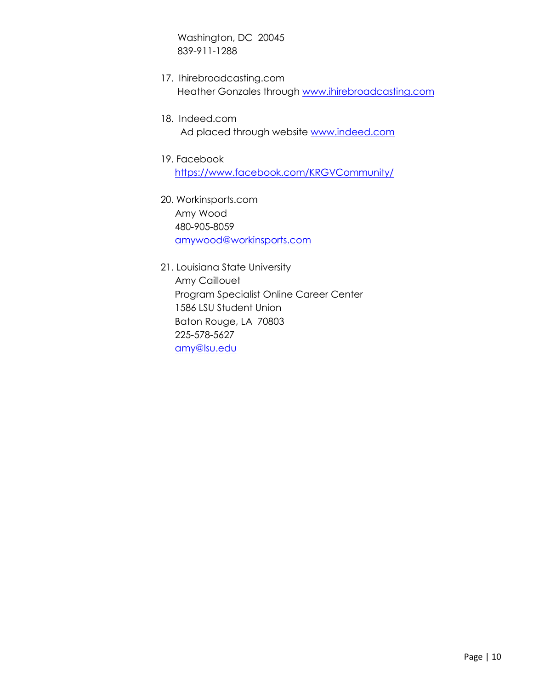Washington, DC 20045 839-911-1288

- 17. Ihirebroadcasting.com Heather Gonzales through [www.ihirebroadcasting.com](http://www.ihirebroadcasting.com/)
- 18. Indeed.com Ad placed through website [www.indeed.com](http://www.indeed.com/)
- 19. Facebook <https://www.facebook.com/KRGVCommunity/>
- 20. Workinsports.com Amy Wood 480-905-8059 [amywood@workinsports.com](mailto:amywood@workinsports.com)
- 21. Louisiana State University Amy Caillouet Program Specialist Online Career Center 1586 LSU Student Union Baton Rouge, LA 70803 225-578-5627 [amy@lsu.edu](mailto:amy@lsu.edu)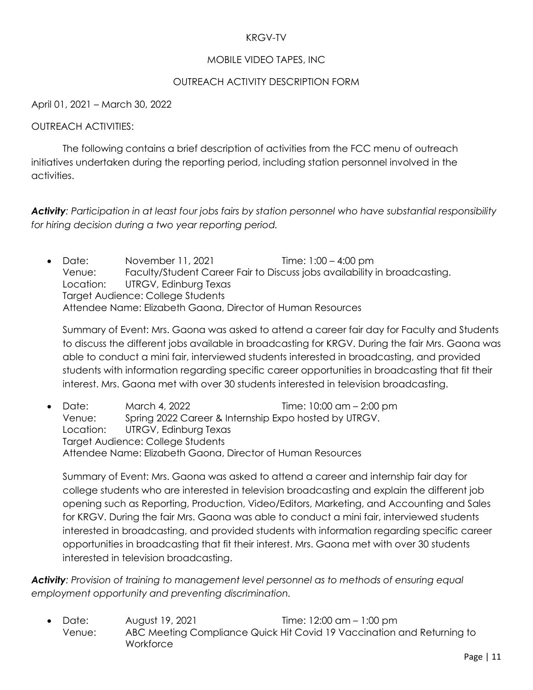### KRGV-TV

### MOBILE VIDEO TAPES, INC

### OUTREACH ACTIVITY DESCRIPTION FORM

April 01, 2021 – March 30, 2022

### OUTREACH ACTIVITIES:

The following contains a brief description of activities from the FCC menu of outreach initiatives undertaken during the reporting period, including station personnel involved in the activities.

*Activity: Participation in at least four jobs fairs by station personnel who have substantial responsibility for hiring decision during a two year reporting period.*

• Date: November 11, 2021 Time: 1:00 – 4:00 pm Venue: Faculty/Student Career Fair to Discuss jobs availability in broadcasting. Location: UTRGV, Edinburg Texas Target Audience: College Students Attendee Name: Elizabeth Gaona, Director of Human Resources

Summary of Event: Mrs. Gaona was asked to attend a career fair day for Faculty and Students to discuss the different jobs available in broadcasting for KRGV. During the fair Mrs. Gaona was able to conduct a mini fair, interviewed students interested in broadcasting, and provided students with information regarding specific career opportunities in broadcasting that fit their interest. Mrs. Gaona met with over 30 students interested in television broadcasting.

• Date: March 4, 2022 Time: 10:00 am – 2:00 pm Venue: Spring 2022 Career & Internship Expo hosted by UTRGV. Location: UTRGV, Edinburg Texas Target Audience: College Students Attendee Name: Elizabeth Gaona, Director of Human Resources

Summary of Event: Mrs. Gaona was asked to attend a career and internship fair day for college students who are interested in television broadcasting and explain the different job opening such as Reporting, Production, Video/Editors, Marketing, and Accounting and Sales for KRGV. During the fair Mrs. Gaona was able to conduct a mini fair, interviewed students interested in broadcasting, and provided students with information regarding specific career opportunities in broadcasting that fit their interest. Mrs. Gaona met with over 30 students interested in television broadcasting.

*Activity: Provision of training to management level personnel as to methods of ensuring equal employment opportunity and preventing discrimination.*

• Date: August 19, 2021 Time: 12:00 am – 1:00 pm Venue: ABC Meeting Compliance Quick Hit Covid 19 Vaccination and Returning to **Workforce**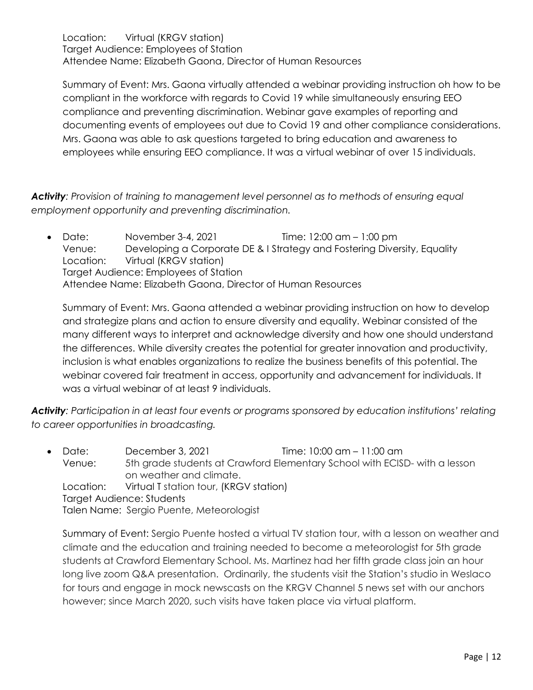Location: Virtual (KRGV station) Target Audience: Employees of Station Attendee Name: Elizabeth Gaona, Director of Human Resources

Summary of Event: Mrs. Gaona virtually attended a webinar providing instruction oh how to be compliant in the workforce with regards to Covid 19 while simultaneously ensuring EEO compliance and preventing discrimination. Webinar gave examples of reporting and documenting events of employees out due to Covid 19 and other compliance considerations. Mrs. Gaona was able to ask questions targeted to bring education and awareness to employees while ensuring EEO compliance. It was a virtual webinar of over 15 individuals.

*Activity: Provision of training to management level personnel as to methods of ensuring equal employment opportunity and preventing discrimination.* 

• Date: November 3-4, 2021 Time:  $12:00$  am  $-1:00$  pm Venue: Developing a Corporate DE & I Strategy and Fostering Diversity, Equality Location: Virtual (KRGV station) Target Audience: Employees of Station Attendee Name: Elizabeth Gaona, Director of Human Resources

Summary of Event: Mrs. Gaona attended a webinar providing instruction on how to develop and strategize plans and action to ensure diversity and equality. Webinar consisted of the many different ways to interpret and acknowledge diversity and how one should understand the differences. While diversity creates the potential for greater innovation and productivity, inclusion is what enables organizations to realize the business benefits of this potential. The webinar covered fair treatment in access, opportunity and advancement for individuals. It was a virtual webinar of at least 9 individuals.

*Activity: Participation in at least four events or programs sponsored by education institutions' relating to career opportunities in broadcasting.*

• Date: December 3, 2021 Time: 10:00 am – 11:00 am Venue: 5th grade students at Crawford Elementary School with ECISD- with a lesson on weather and climate. Location: Virtual T station tour, (KRGV station) Target Audience: Students Talen Name: Sergio Puente, Meteorologist

Summary of Event: Sergio Puente hosted a virtual TV station tour, with a lesson on weather and climate and the education and training needed to become a meteorologist for 5th grade students at Crawford Elementary School. Ms. Martinez had her fifth grade class join an hour long live zoom Q&A presentation. Ordinarily, the students visit the Station's studio in Weslaco for tours and engage in mock newscasts on the KRGV Channel 5 news set with our anchors however; since March 2020, such visits have taken place via virtual platform.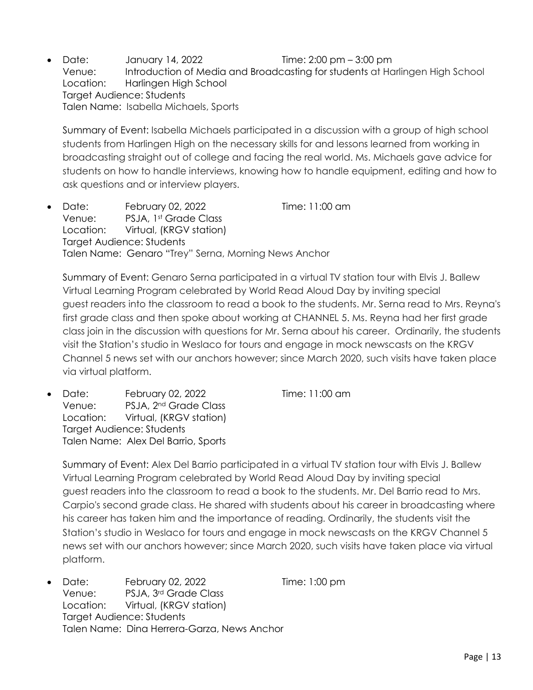• Date: January 14, 2022 Time: 2:00 pm – 3:00 pm Venue: Introduction of Media and Broadcasting for students at Harlingen High School Location: Harlingen High School Target Audience: Students Talen Name: Isabella Michaels, Sports

Summary of Event: Isabella Michaels participated in a discussion with a group of high school students from Harlingen High on the necessary skills for and lessons learned from working in broadcasting straight out of college and facing the real world. Ms. Michaels gave advice for students on how to handle interviews, knowing how to handle equipment, editing and how to ask questions and or interview players.

• Date: February 02, 2022 Time: 11:00 am Venue: PSJA, 1st Grade Class Location: Virtual, (KRGV station) Target Audience: Students Talen Name: Genaro "Trey" Serna, Morning News Anchor

Summary of Event: Genaro Serna participated in a virtual TV station tour with Elvis J. Ballew Virtual Learning Program celebrated by World Read Aloud Day by inviting special guest readers into the classroom to read a book to the students. Mr. Serna read to Mrs. Reyna's first grade class and then spoke about working at CHANNEL 5. Ms. Reyna had her first grade class join in the discussion with questions for Mr. Serna about his career. Ordinarily, the students visit the Station's studio in Weslaco for tours and engage in mock newscasts on the KRGV Channel 5 news set with our anchors however; since March 2020, such visits have taken place via virtual platform.

• Date: February 02, 2022 Time: 11:00 am Venue: PSJA, 2nd Grade Class Location: Virtual, (KRGV station) Target Audience: Students Talen Name: Alex Del Barrio, Sports

Summary of Event: Alex Del Barrio participated in a virtual TV station tour with Elvis J. Ballew Virtual Learning Program celebrated by World Read Aloud Day by inviting special guest readers into the classroom to read a book to the students. Mr. Del Barrio read to Mrs. Carpio's second grade class. He shared with students about his career in broadcasting where his career has taken him and the importance of reading. Ordinarily, the students visit the Station's studio in Weslaco for tours and engage in mock newscasts on the KRGV Channel 5 news set with our anchors however; since March 2020, such visits have taken place via virtual platform.

• Date: February 02, 2022 Time: 1:00 pm Venue: PSJA, 3rd Grade Class Location: Virtual, (KRGV station) Target Audience: Students Talen Name: Dina Herrera-Garza, News Anchor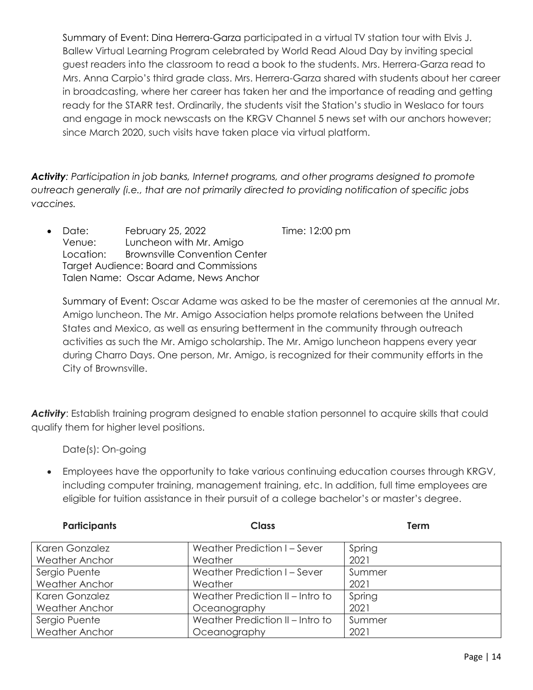Summary of Event: Dina Herrera-Garza participated in a virtual TV station tour with Elvis J. Ballew Virtual Learning Program celebrated by World Read Aloud Day by inviting special guest readers into the classroom to read a book to the students. Mrs. Herrera-Garza read to Mrs. Anna Carpio's third grade class. Mrs. Herrera-Garza shared with students about her career in broadcasting, where her career has taken her and the importance of reading and getting ready for the STARR test. Ordinarily, the students visit the Station's studio in Weslaco for tours and engage in mock newscasts on the KRGV Channel 5 news set with our anchors however; since March 2020, such visits have taken place via virtual platform.

*Activity: Participation in job banks, Internet programs, and other programs designed to promote outreach generally (i.e., that are not primarily directed to providing notification of specific jobs vaccines.*

• Date: February 25, 2022 Time: 12:00 pm Venue: Luncheon with Mr. Amigo Location: Brownsville Convention Center Target Audience: Board and Commissions Talen Name: Oscar Adame, News Anchor

Summary of Event: Oscar Adame was asked to be the master of ceremonies at the annual Mr. Amigo luncheon. The Mr. Amigo Association helps promote relations between the United States and Mexico, as well as ensuring betterment in the community through outreach activities as such the Mr. Amigo scholarship. The Mr. Amigo luncheon happens every year during Charro Days. One person, Mr. Amigo, is recognized for their community efforts in the City of Brownsville.

*Activity*: Establish training program designed to enable station personnel to acquire skills that could qualify them for higher level positions.

Date(s): On-going

• Employees have the opportunity to take various continuing education courses through KRGV, including computer training, management training, etc. In addition, full time employees are eligible for tuition assistance in their pursuit of a college bachelor's or master's degree.

| <b>Participants</b>   | <b>Class</b>                     | Term   |
|-----------------------|----------------------------------|--------|
| Karen Gonzalez        | Weather Prediction I - Sever     | Spring |
| <b>Weather Anchor</b> | Weather                          | 2021   |
| Sergio Puente         | Weather Prediction I - Sever     | Summer |
| <b>Weather Anchor</b> | Weather                          | 2021   |
| Karen Gonzalez        | Weather Prediction II - Intro to | Spring |
| <b>Weather Anchor</b> | Oceanography                     | 2021   |
| Sergio Puente         | Weather Prediction II - Intro to | Summer |
| <b>Weather Anchor</b> | Oceanography                     | 2021   |